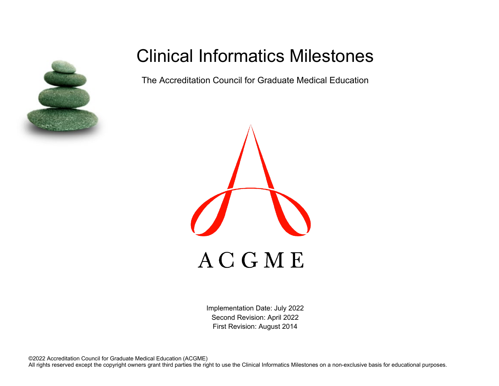

# Clinical Informatics Milestones

The Accreditation Council for Graduate Medical Education



Implementation Date: July 2022 Second Revision: April 2022 First Revision: August 2014

©2022 Accreditation Council for Graduate Medical Education (ACGME) All rights reserved except the copyright owners grant third parties the right to use the Clinical Informatics Milestones on a non-exclusive basis for educational purposes.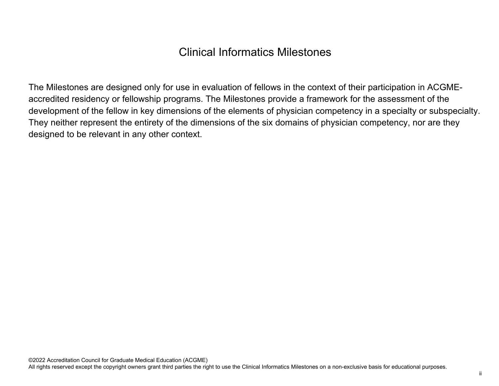## Clinical Informatics Milestones

The Milestones are designed only for use in evaluation of fellows in the context of their participation in ACGMEaccredited residency or fellowship programs. The Milestones provide a framework for the assessment of the development of the fellow in key dimensions of the elements of physician competency in a specialty or subspecialty. They neither represent the entirety of the dimensions of the six domains of physician competency, nor are they designed to be relevant in any other context.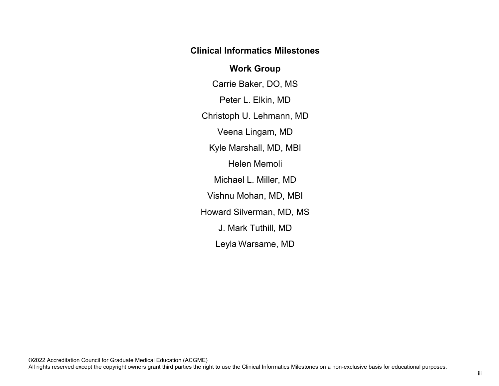## **Clinical Informatics Milestones**

## **Work Group**

Carrie Baker, DO, MS Peter L. Elkin, MD Christoph U. Lehmann, MD Veena Lingam, MD Kyle Marshall, MD, MBI Helen Memoli Michael L. Miller, MD Vishnu Mohan, MD, MBI Howard Silverman, MD, MS J. Mark Tuthill, MD Leyla Warsame, MD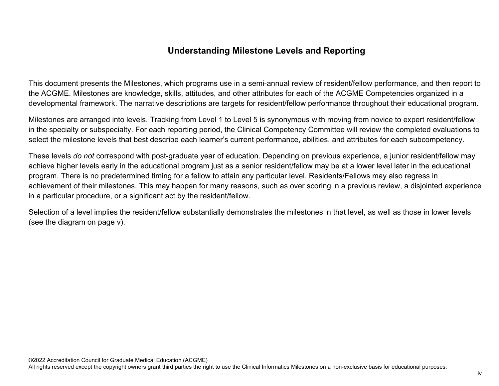## **Understanding Milestone Levels and Reporting**

This document presents the Milestones, which programs use in a semi-annual review of resident/fellow performance, and then report to the ACGME. Milestones are knowledge, skills, attitudes, and other attributes for each of the ACGME Competencies organized in a developmental framework. The narrative descriptions are targets for resident/fellow performance throughout their educational program.

Milestones are arranged into levels. Tracking from Level 1 to Level 5 is synonymous with moving from novice to expert resident/fellow in the specialty or subspecialty. For each reporting period, the Clinical Competency Committee will review the completed evaluations to select the milestone levels that best describe each learner's current performance, abilities, and attributes for each subcompetency.

These levels *do not* correspond with post-graduate year of education. Depending on previous experience, a junior resident/fellow may achieve higher levels early in the educational program just as a senior resident/fellow may be at a lower level later in the educational program. There is no predetermined timing for a fellow to attain any particular level. Residents/Fellows may also regress in achievement of their milestones. This may happen for many reasons, such as over scoring in a previous review, a disjointed experience in a particular procedure, or a significant act by the resident/fellow.

Selection of a level implies the resident/fellow substantially demonstrates the milestones in that level, as well as those in lower levels (see the diagram on page v).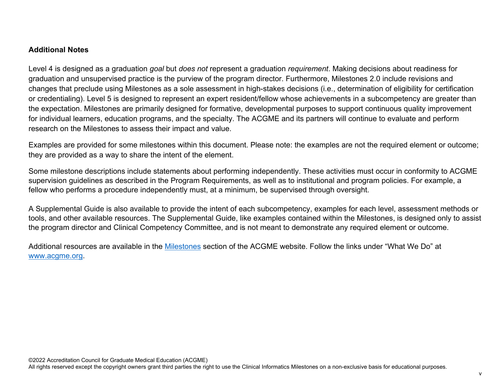#### **Additional Notes**

Level 4 is designed as a graduation *goal* but *does not* represent a graduation *requirement*. Making decisions about readiness for graduation and unsupervised practice is the purview of the program director. Furthermore, Milestones 2.0 include revisions and changes that preclude using Milestones as a sole assessment in high-stakes decisions (i.e., determination of eligibility for certification or credentialing). Level 5 is designed to represent an expert resident/fellow whose achievements in a subcompetency are greater than the expectation. Milestones are primarily designed for formative, developmental purposes to support continuous quality improvement for individual learners, education programs, and the specialty. The ACGME and its partners will continue to evaluate and perform research on the Milestones to assess their impact and value.

Examples are provided for some milestones within this document. Please note: the examples are not the required element or outcome; they are provided as a way to share the intent of the element.

Some milestone descriptions include statements about performing independently. These activities must occur in conformity to ACGME supervision guidelines as described in the Program Requirements, as well as to institutional and program policies. For example, a fellow who performs a procedure independently must, at a minimum, be supervised through oversight.

A Supplemental Guide is also available to provide the intent of each subcompetency, examples for each level, assessment methods or tools, and other available resources. The Supplemental Guide, like examples contained within the Milestones, is designed only to assist the program director and Clinical Competency Committee, and is not meant to demonstrate any required element or outcome.

Additional resources are available in the [Milestones](http://www.acgme.org/What-We-Do/Accreditation/Milestones/Overview) section of the ACGME website. Follow the links under "What We Do" at [www.acgme.org.](http://www.acgme.org/)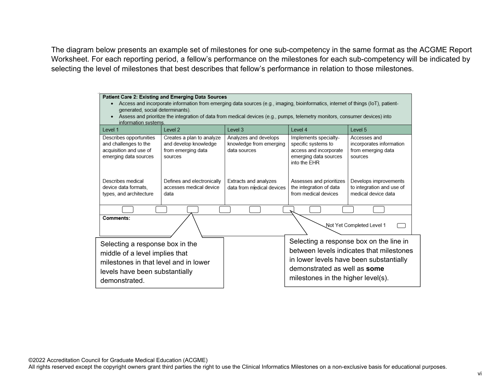The diagram below presents an example set of milestones for one sub-competency in the same format as the ACGME Report Worksheet. For each reporting period, a fellow's performance on the milestones for each sub-competency will be indicated by selecting the level of milestones that best describes that fellow's performance in relation to those milestones.

| Patient Care 2: Existing and Emerging Data Sources<br>Access and incorporate information from emerging data sources (e.g., imaging, bioinformatics, internet of things (IoT), patient-<br>٠<br>generated, social determinants).<br>Assess and prioritize the integration of data from medical devices (e.g., pumps, telemetry monitors, consumer devices) into<br>٠<br>information systems. |                                                                                     |                                                                  |                                                                                                                 |                                                                                                                                |  |
|---------------------------------------------------------------------------------------------------------------------------------------------------------------------------------------------------------------------------------------------------------------------------------------------------------------------------------------------------------------------------------------------|-------------------------------------------------------------------------------------|------------------------------------------------------------------|-----------------------------------------------------------------------------------------------------------------|--------------------------------------------------------------------------------------------------------------------------------|--|
| Level 1                                                                                                                                                                                                                                                                                                                                                                                     | Level 2                                                                             | Level 3                                                          | Level 4                                                                                                         | Level 5                                                                                                                        |  |
| Describes opportunities<br>and challenges to the<br>acquisition and use of<br>emerging data sources                                                                                                                                                                                                                                                                                         | Creates a plan to analyze<br>and develop knowledge<br>from emerging data<br>sources | Analyzes and develops<br>knowledge from emerging<br>data sources | Implements specialty-<br>specific systems to<br>access and incorporate<br>emerging data sources<br>into the EHR | Accesses and<br>incorporates information<br>from emerging data<br>sources                                                      |  |
| Describes medical<br>device data formats,<br>types, and architecture                                                                                                                                                                                                                                                                                                                        | Defines and electronically<br>accesses medical device<br>data                       | Extracts and analyzes<br>data from medical devices               | Assesses and prioritizes<br>the integration of data<br>from medical devices                                     | Develops improvements<br>to integration and use of<br>medical device data                                                      |  |
|                                                                                                                                                                                                                                                                                                                                                                                             |                                                                                     |                                                                  |                                                                                                                 |                                                                                                                                |  |
| Comments:<br>Not Yet Completed Level 1                                                                                                                                                                                                                                                                                                                                                      |                                                                                     |                                                                  |                                                                                                                 |                                                                                                                                |  |
| Selecting a response box in the<br>middle of a level implies that<br>milestones in that level and in lower<br>levels have been substantially<br>demonstrated.                                                                                                                                                                                                                               |                                                                                     |                                                                  | demonstrated as well as some<br>milestones in the higher level(s).                                              | Selecting a response box on the line in<br>between levels indicates that milestones<br>in lower levels have been substantially |  |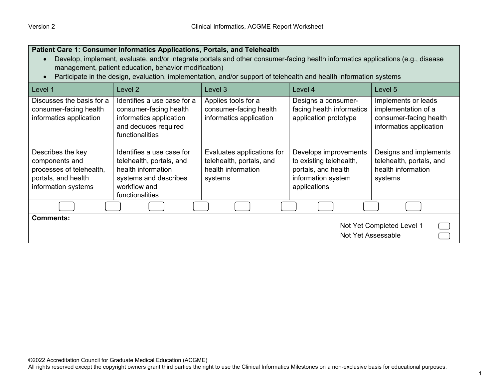| Patient Care 1: Consumer Informatics Applications, Portals, and Telehealth<br>Develop, implement, evaluate, and/or integrate portals and other consumer-facing health informatics applications (e.g., disease<br>management, patient education, behavior modification)<br>Participate in the design, evaluation, implementation, and/or support of telehealth and health information systems |                                                                                                                                         |                                                                                         |                                                                                                               |                                                                                                 |
|----------------------------------------------------------------------------------------------------------------------------------------------------------------------------------------------------------------------------------------------------------------------------------------------------------------------------------------------------------------------------------------------|-----------------------------------------------------------------------------------------------------------------------------------------|-----------------------------------------------------------------------------------------|---------------------------------------------------------------------------------------------------------------|-------------------------------------------------------------------------------------------------|
| Level 1                                                                                                                                                                                                                                                                                                                                                                                      | Level 2                                                                                                                                 | Level 3                                                                                 | Level 4                                                                                                       | Level 5                                                                                         |
| Discusses the basis for a<br>consumer-facing health<br>informatics application                                                                                                                                                                                                                                                                                                               | Identifies a use case for a<br>consumer-facing health<br>informatics application<br>and deduces required<br>functionalities             | Applies tools for a<br>consumer-facing health<br>informatics application                | Designs a consumer-<br>facing health informatics<br>application prototype                                     | Implements or leads<br>implementation of a<br>consumer-facing health<br>informatics application |
| Describes the key<br>components and<br>processes of telehealth,<br>portals, and health<br>information systems                                                                                                                                                                                                                                                                                | Identifies a use case for<br>telehealth, portals, and<br>health information<br>systems and describes<br>workflow and<br>functionalities | Evaluates applications for<br>telehealth, portals, and<br>health information<br>systems | Develops improvements<br>to existing telehealth,<br>portals, and health<br>information system<br>applications | Designs and implements<br>telehealth, portals, and<br>health information<br>systems             |
|                                                                                                                                                                                                                                                                                                                                                                                              |                                                                                                                                         |                                                                                         |                                                                                                               |                                                                                                 |
| <b>Comments:</b><br>Not Yet Completed Level 1<br>Not Yet Assessable                                                                                                                                                                                                                                                                                                                          |                                                                                                                                         |                                                                                         |                                                                                                               |                                                                                                 |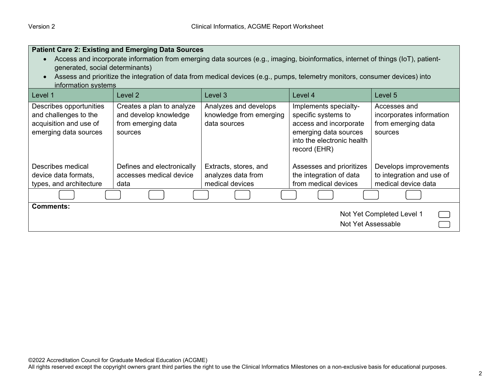|                                                                                                                                                                                                                                                                                                    | <b>Patient Care 2: Existing and Emerging Data Sources</b>                           |                                                                  |                                                                                                                                               |                                                                           |  |
|----------------------------------------------------------------------------------------------------------------------------------------------------------------------------------------------------------------------------------------------------------------------------------------------------|-------------------------------------------------------------------------------------|------------------------------------------------------------------|-----------------------------------------------------------------------------------------------------------------------------------------------|---------------------------------------------------------------------------|--|
| Access and incorporate information from emerging data sources (e.g., imaging, bioinformatics, internet of things (IoT), patient-<br>generated, social determinants)<br>Assess and prioritize the integration of data from medical devices (e.g., pumps, telemetry monitors, consumer devices) into |                                                                                     |                                                                  |                                                                                                                                               |                                                                           |  |
| information systems                                                                                                                                                                                                                                                                                |                                                                                     |                                                                  |                                                                                                                                               |                                                                           |  |
| Level 1                                                                                                                                                                                                                                                                                            | Level 2                                                                             | Level 3                                                          | Level 4                                                                                                                                       | Level 5                                                                   |  |
| Describes opportunities<br>and challenges to the<br>acquisition and use of<br>emerging data sources                                                                                                                                                                                                | Creates a plan to analyze<br>and develop knowledge<br>from emerging data<br>sources | Analyzes and develops<br>knowledge from emerging<br>data sources | Implements specialty-<br>specific systems to<br>access and incorporate<br>emerging data sources<br>into the electronic health<br>record (EHR) | Accesses and<br>incorporates information<br>from emerging data<br>sources |  |
| Describes medical<br>device data formats,<br>types, and architecture                                                                                                                                                                                                                               | Defines and electronically<br>accesses medical device<br>data                       | Extracts, stores, and<br>analyzes data from<br>medical devices   | Assesses and prioritizes<br>the integration of data<br>from medical devices                                                                   | Develops improvements<br>to integration and use of<br>medical device data |  |
|                                                                                                                                                                                                                                                                                                    |                                                                                     |                                                                  |                                                                                                                                               |                                                                           |  |
| <b>Comments:</b><br>Not Yet Completed Level 1<br>Not Yet Assessable                                                                                                                                                                                                                                |                                                                                     |                                                                  |                                                                                                                                               |                                                                           |  |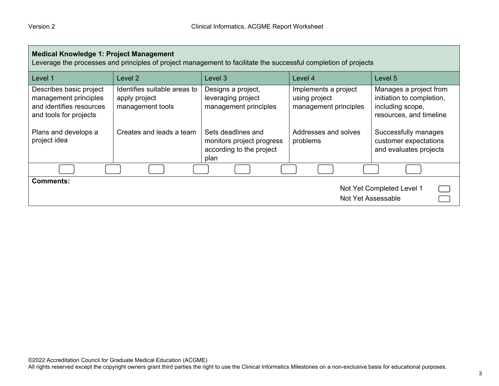| <b>Medical Knowledge 1: Project Management</b><br>Leverage the processes and principles of project management to facilitate the successful completion of projects |                                                                   |                                                                                     |                                                                |                                                                                                    |
|-------------------------------------------------------------------------------------------------------------------------------------------------------------------|-------------------------------------------------------------------|-------------------------------------------------------------------------------------|----------------------------------------------------------------|----------------------------------------------------------------------------------------------------|
| Level 1                                                                                                                                                           | Level 2                                                           | Level 3                                                                             | Level 4                                                        | Level 5                                                                                            |
| Describes basic project<br>management principles<br>and identifies resources<br>and tools for projects                                                            | Identifies suitable areas to<br>apply project<br>management tools | Designs a project,<br>leveraging project<br>management principles                   | Implements a project<br>using project<br>management principles | Manages a project from<br>initiation to completion,<br>including scope,<br>resources, and timeline |
| Plans and develops a<br>project idea                                                                                                                              | Creates and leads a team                                          | Sets deadlines and<br>monitors project progress<br>according to the project<br>plan | Addresses and solves<br>problems                               | Successfully manages<br>customer expectations<br>and evaluates projects                            |
|                                                                                                                                                                   |                                                                   |                                                                                     |                                                                |                                                                                                    |
| <b>Comments:</b><br>Not Yet Completed Level 1<br>Not Yet Assessable                                                                                               |                                                                   |                                                                                     |                                                                |                                                                                                    |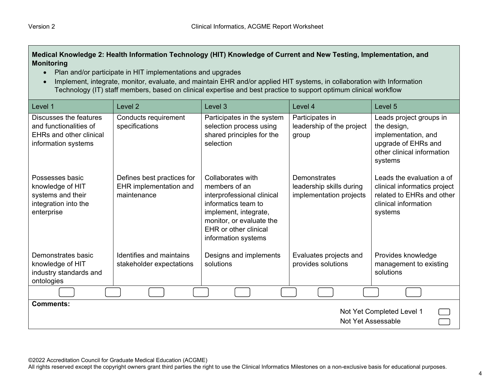### **Medical Knowledge 2: Health Information Technology (HIT) Knowledge of Current and New Testing, Implementation, and Monitoring**

- Plan and/or participate in HIT implementations and upgrades
- Implement, integrate, monitor, evaluate, and maintain EHR and/or applied HIT systems, in collaboration with Information Technology (IT) staff members, based on clinical expertise and best practice to support optimum clinical workflow

| Level 1                                                                                                   | Level <sub>2</sub>                                                  | Level <sub>3</sub>                                                                                                                                                                           | Level 4                                                             | Level <sub>5</sub>                                                                                                            |
|-----------------------------------------------------------------------------------------------------------|---------------------------------------------------------------------|----------------------------------------------------------------------------------------------------------------------------------------------------------------------------------------------|---------------------------------------------------------------------|-------------------------------------------------------------------------------------------------------------------------------|
| Discusses the features<br>and functionalities of<br><b>EHRs and other clinical</b><br>information systems | Conducts requirement<br>specifications                              | Participates in the system<br>selection process using<br>shared principles for the<br>selection                                                                                              | Participates in<br>leadership of the project<br>group               | Leads project groups in<br>the design,<br>implementation, and<br>upgrade of EHRs and<br>other clinical information<br>systems |
| Possesses basic<br>knowledge of HIT<br>systems and their<br>integration into the<br>enterprise            | Defines best practices for<br>EHR implementation and<br>maintenance | Collaborates with<br>members of an<br>interprofessional clinical<br>informatics team to<br>implement, integrate,<br>monitor, or evaluate the<br>EHR or other clinical<br>information systems | Demonstrates<br>leadership skills during<br>implementation projects | Leads the evaluation a of<br>clinical informatics project<br>related to EHRs and other<br>clinical information<br>systems     |
| Demonstrates basic<br>knowledge of HIT<br>industry standards and<br>ontologies                            | Identifies and maintains<br>stakeholder expectations                | Designs and implements<br>solutions                                                                                                                                                          | Evaluates projects and<br>provides solutions                        | Provides knowledge<br>management to existing<br>solutions                                                                     |
|                                                                                                           |                                                                     |                                                                                                                                                                                              |                                                                     |                                                                                                                               |
| <b>Comments:</b><br>Not Yet Completed Level 1<br>Not Yet Assessable                                       |                                                                     |                                                                                                                                                                                              |                                                                     |                                                                                                                               |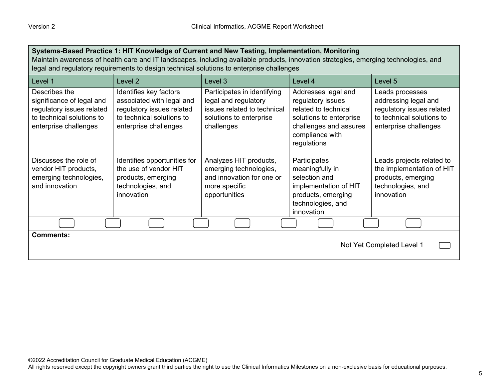| Systems-Based Practice 1: HIT Knowledge of Current and New Testing, Implementation, Monitoring<br>Maintain awareness of health care and IT landscapes, including available products, innovation strategies, emerging technologies, and<br>legal and regulatory requirements to design technical solutions to enterprise challenges |                                                                                                                                        |                                                                                                                             |                                                                                                                                                         |                                                                                                                            |
|------------------------------------------------------------------------------------------------------------------------------------------------------------------------------------------------------------------------------------------------------------------------------------------------------------------------------------|----------------------------------------------------------------------------------------------------------------------------------------|-----------------------------------------------------------------------------------------------------------------------------|---------------------------------------------------------------------------------------------------------------------------------------------------------|----------------------------------------------------------------------------------------------------------------------------|
| Level 1                                                                                                                                                                                                                                                                                                                            | Level 2                                                                                                                                | Level 3                                                                                                                     | Level 4                                                                                                                                                 | Level 5                                                                                                                    |
| Describes the<br>significance of legal and<br>regulatory issues related<br>to technical solutions to<br>enterprise challenges                                                                                                                                                                                                      | Identifies key factors<br>associated with legal and<br>regulatory issues related<br>to technical solutions to<br>enterprise challenges | Participates in identifying<br>legal and regulatory<br>issues related to technical<br>solutions to enterprise<br>challenges | Addresses legal and<br>regulatory issues<br>related to technical<br>solutions to enterprise<br>challenges and assures<br>compliance with<br>regulations | Leads processes<br>addressing legal and<br>regulatory issues related<br>to technical solutions to<br>enterprise challenges |
| Discusses the role of<br>vendor HIT products,<br>emerging technologies,<br>and innovation                                                                                                                                                                                                                                          | Identifies opportunities for<br>the use of vendor HIT<br>products, emerging<br>technologies, and<br>innovation                         | Analyzes HIT products,<br>emerging technologies,<br>and innovation for one or<br>more specific<br>opportunities             | Participates<br>meaningfully in<br>selection and<br>implementation of HIT<br>products, emerging<br>technologies, and<br>innovation                      | Leads projects related to<br>the implementation of HIT<br>products, emerging<br>technologies, and<br>innovation            |
|                                                                                                                                                                                                                                                                                                                                    |                                                                                                                                        |                                                                                                                             |                                                                                                                                                         |                                                                                                                            |
| <b>Comments:</b><br>Not Yet Completed Level 1                                                                                                                                                                                                                                                                                      |                                                                                                                                        |                                                                                                                             |                                                                                                                                                         |                                                                                                                            |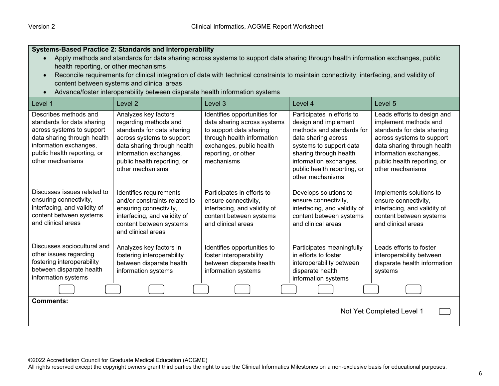#### **Systems-Based Practice 2: Standards and Interoperability**

- Apply methods and standards for data sharing across systems to support data sharing through health information exchanges, public health reporting, or other mechanisms
- Reconcile requirements for clinical integration of data with technical constraints to maintain connectivity, interfacing, and validity of content between systems and clinical areas
- Advance/foster interoperability between disparate health information systems

| Level 1                                                                                                                                                                                      | Level 2                                                                                                                                                                                                              | Level 3                                                                                                                                                                               | Level 4                                                                                                                                                                                                                                  | Level 5                                                                                                                                                                                                                     |
|----------------------------------------------------------------------------------------------------------------------------------------------------------------------------------------------|----------------------------------------------------------------------------------------------------------------------------------------------------------------------------------------------------------------------|---------------------------------------------------------------------------------------------------------------------------------------------------------------------------------------|------------------------------------------------------------------------------------------------------------------------------------------------------------------------------------------------------------------------------------------|-----------------------------------------------------------------------------------------------------------------------------------------------------------------------------------------------------------------------------|
| Describes methods and<br>standards for data sharing<br>across systems to support<br>data sharing through health<br>information exchanges,<br>public health reporting, or<br>other mechanisms | Analyzes key factors<br>regarding methods and<br>standards for data sharing<br>across systems to support<br>data sharing through health<br>information exchanges,<br>public health reporting, or<br>other mechanisms | Identifies opportunities for<br>data sharing across systems<br>to support data sharing<br>through health information<br>exchanges, public health<br>reporting, or other<br>mechanisms | Participates in efforts to<br>design and implement<br>methods and standards for<br>data sharing across<br>systems to support data<br>sharing through health<br>information exchanges,<br>public health reporting, or<br>other mechanisms | Leads efforts to design and<br>implement methods and<br>standards for data sharing<br>across systems to support<br>data sharing through health<br>information exchanges,<br>public health reporting, or<br>other mechanisms |
| Discusses issues related to<br>ensuring connectivity,<br>interfacing, and validity of<br>content between systems<br>and clinical areas                                                       | Identifies requirements<br>and/or constraints related to<br>ensuring connectivity,<br>interfacing, and validity of<br>content between systems<br>and clinical areas                                                  | Participates in efforts to<br>ensure connectivity,<br>interfacing, and validity of<br>content between systems<br>and clinical areas                                                   | Develops solutions to<br>ensure connectivity,<br>interfacing, and validity of<br>content between systems<br>and clinical areas                                                                                                           | Implements solutions to<br>ensure connectivity,<br>interfacing, and validity of<br>content between systems<br>and clinical areas                                                                                            |
| Discusses sociocultural and<br>other issues regarding<br>fostering interoperability<br>between disparate health<br>information systems                                                       | Analyzes key factors in<br>fostering interoperability<br>between disparate health<br>information systems                                                                                                             | Identifies opportunities to<br>foster interoperability<br>between disparate health<br>information systems                                                                             | Participates meaningfully<br>in efforts to foster<br>interoperability between<br>disparate health<br>information systems                                                                                                                 | Leads efforts to foster<br>interoperability between<br>disparate health information<br>systems                                                                                                                              |
|                                                                                                                                                                                              |                                                                                                                                                                                                                      |                                                                                                                                                                                       |                                                                                                                                                                                                                                          |                                                                                                                                                                                                                             |
| <b>Comments:</b><br>Not Yet Completed Level 1                                                                                                                                                |                                                                                                                                                                                                                      |                                                                                                                                                                                       |                                                                                                                                                                                                                                          |                                                                                                                                                                                                                             |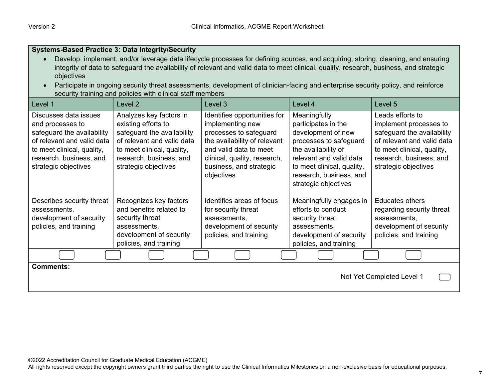• Develop, implement, and/or leverage data lifecycle processes for defining sources, and acquiring, storing, cleaning, and ensuring integrity of data to safeguard the availability of relevant and valid data to meet clinical, quality, research, business, and strategic

| objectives                                                                                                                                                                             |                                                                                                                                                                                             | Participate in ongoing security threat assessments, development of clinician-facing and enterprise security policy, and reinforce                                                                             |                                                                                                                                                                                                                        |                                                                                                                                                                                         |
|----------------------------------------------------------------------------------------------------------------------------------------------------------------------------------------|---------------------------------------------------------------------------------------------------------------------------------------------------------------------------------------------|---------------------------------------------------------------------------------------------------------------------------------------------------------------------------------------------------------------|------------------------------------------------------------------------------------------------------------------------------------------------------------------------------------------------------------------------|-----------------------------------------------------------------------------------------------------------------------------------------------------------------------------------------|
|                                                                                                                                                                                        | security training and policies with clinical staff members                                                                                                                                  |                                                                                                                                                                                                               |                                                                                                                                                                                                                        |                                                                                                                                                                                         |
| Level 1                                                                                                                                                                                | Level 2                                                                                                                                                                                     | Level 3                                                                                                                                                                                                       | Level 4                                                                                                                                                                                                                | Level 5                                                                                                                                                                                 |
| Discusses data issues<br>and processes to<br>safeguard the availability<br>of relevant and valid data<br>to meet clinical, quality,<br>research, business, and<br>strategic objectives | Analyzes key factors in<br>existing efforts to<br>safeguard the availability<br>of relevant and valid data<br>to meet clinical, quality,<br>research, business, and<br>strategic objectives | Identifies opportunities for<br>implementing new<br>processes to safeguard<br>the availability of relevant<br>and valid data to meet<br>clinical, quality, research,<br>business, and strategic<br>objectives | Meaningfully<br>participates in the<br>development of new<br>processes to safeguard<br>the availability of<br>relevant and valid data<br>to meet clinical, quality,<br>research, business, and<br>strategic objectives | Leads efforts to<br>implement processes to<br>safeguard the availability<br>of relevant and valid data<br>to meet clinical, quality,<br>research, business, and<br>strategic objectives |
| Describes security threat<br>assessments.<br>development of security<br>policies, and training                                                                                         | Recognizes key factors<br>and benefits related to<br>security threat<br>assessments,<br>development of security<br>policies, and training                                                   | Identifies areas of focus<br>for security threat<br>assessments,<br>development of security<br>policies, and training                                                                                         | Meaningfully engages in<br>efforts to conduct<br>security threat<br>assessments,<br>development of security<br>policies, and training                                                                                  | <b>Educates others</b><br>regarding security threat<br>assessments,<br>development of security<br>policies, and training                                                                |
|                                                                                                                                                                                        |                                                                                                                                                                                             |                                                                                                                                                                                                               |                                                                                                                                                                                                                        |                                                                                                                                                                                         |
| <b>Comments:</b><br>Not Yet Completed Level 1                                                                                                                                          |                                                                                                                                                                                             |                                                                                                                                                                                                               |                                                                                                                                                                                                                        |                                                                                                                                                                                         |

**Systems-Based Practice 3: Data Integrity/Security**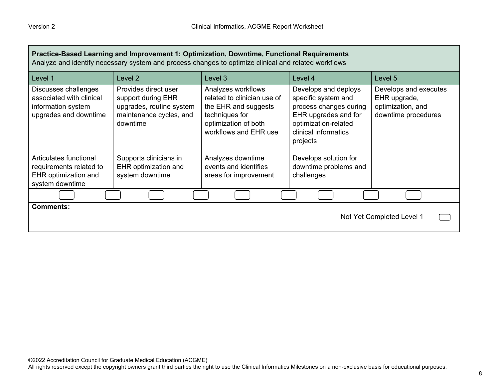| Practice-Based Learning and Improvement 1: Optimization, Downtime, Functional Requirements<br>Analyze and identify necessary system and process changes to optimize clinical and related workflows |                                                                                                               |                                                                                                                                              |                                                                                                                                                           |                                                                                   |
|----------------------------------------------------------------------------------------------------------------------------------------------------------------------------------------------------|---------------------------------------------------------------------------------------------------------------|----------------------------------------------------------------------------------------------------------------------------------------------|-----------------------------------------------------------------------------------------------------------------------------------------------------------|-----------------------------------------------------------------------------------|
| Level 1                                                                                                                                                                                            | Level <sub>2</sub>                                                                                            | Level 3                                                                                                                                      | Level 4                                                                                                                                                   | Level 5                                                                           |
| Discusses challenges<br>associated with clinical<br>information system<br>upgrades and downtime                                                                                                    | Provides direct user<br>support during EHR<br>upgrades, routine system<br>maintenance cycles, and<br>downtime | Analyzes workflows<br>related to clinician use of<br>the EHR and suggests<br>techniques for<br>optimization of both<br>workflows and EHR use | Develops and deploys<br>specific system and<br>process changes during<br>EHR upgrades and for<br>optimization-related<br>clinical informatics<br>projects | Develops and executes<br>EHR upgrade,<br>optimization, and<br>downtime procedures |
| Articulates functional<br>requirements related to<br><b>EHR</b> optimization and<br>system downtime                                                                                                | Supports clinicians in<br>EHR optimization and<br>system downtime                                             | Analyzes downtime<br>events and identifies<br>areas for improvement                                                                          | Develops solution for<br>downtime problems and<br>challenges                                                                                              |                                                                                   |
|                                                                                                                                                                                                    |                                                                                                               |                                                                                                                                              |                                                                                                                                                           |                                                                                   |
| <b>Comments:</b><br>Not Yet Completed Level 1                                                                                                                                                      |                                                                                                               |                                                                                                                                              |                                                                                                                                                           |                                                                                   |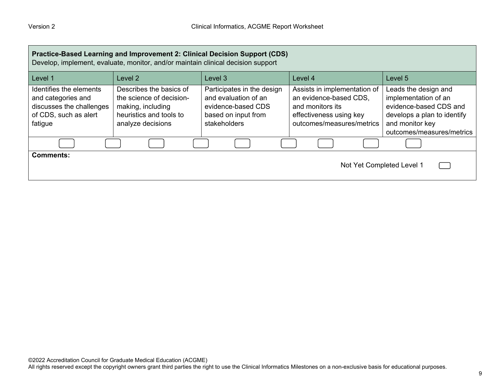| Practice-Based Learning and Improvement 2: Clinical Decision Support (CDS)<br>Develop, implement, evaluate, monitor, and/or maintain clinical decision support |                                                                                                                          |                                                                                                                 |                                                                                                                                    |                                                                                                                                                       |
|----------------------------------------------------------------------------------------------------------------------------------------------------------------|--------------------------------------------------------------------------------------------------------------------------|-----------------------------------------------------------------------------------------------------------------|------------------------------------------------------------------------------------------------------------------------------------|-------------------------------------------------------------------------------------------------------------------------------------------------------|
| Level 1                                                                                                                                                        | Level 2                                                                                                                  | Level 3                                                                                                         | Level 4                                                                                                                            | Level 5                                                                                                                                               |
| Identifies the elements<br>and categories and<br>discusses the challenges<br>of CDS, such as alert<br>fatigue                                                  | Describes the basics of<br>the science of decision-<br>making, including<br>heuristics and tools to<br>analyze decisions | Participates in the design<br>and evaluation of an<br>evidence-based CDS<br>based on input from<br>stakeholders | Assists in implementation of<br>an evidence-based CDS,<br>and monitors its<br>effectiveness using key<br>outcomes/measures/metrics | Leads the design and<br>implementation of an<br>evidence-based CDS and<br>develops a plan to identify<br>and monitor key<br>outcomes/measures/metrics |
|                                                                                                                                                                |                                                                                                                          |                                                                                                                 |                                                                                                                                    |                                                                                                                                                       |
| <b>Comments:</b>                                                                                                                                               |                                                                                                                          |                                                                                                                 | Not Yet Completed Level 1                                                                                                          |                                                                                                                                                       |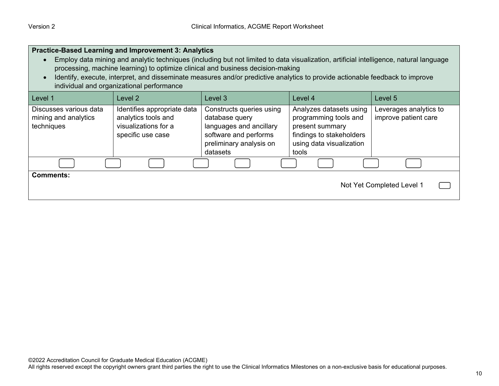| <b>Practice-Based Learning and Improvement 3: Analytics</b><br>Employ data mining and analytic techniques (including but not limited to data visualization, artificial intelligence, natural language<br>processing, machine learning) to optimize clinical and business decision-making<br>Identify, execute, interpret, and disseminate measures and/or predictive analytics to provide actionable feedback to improve<br>individual and organizational performance |                                                                                                 |                                                                                                                                       |                                                                                                                                      |                                                |
|-----------------------------------------------------------------------------------------------------------------------------------------------------------------------------------------------------------------------------------------------------------------------------------------------------------------------------------------------------------------------------------------------------------------------------------------------------------------------|-------------------------------------------------------------------------------------------------|---------------------------------------------------------------------------------------------------------------------------------------|--------------------------------------------------------------------------------------------------------------------------------------|------------------------------------------------|
| Level 1                                                                                                                                                                                                                                                                                                                                                                                                                                                               | Level 2                                                                                         | Level 3                                                                                                                               | Level 4                                                                                                                              | Level 5                                        |
| Discusses various data<br>mining and analytics<br>techniques                                                                                                                                                                                                                                                                                                                                                                                                          | Identifies appropriate data<br>analytics tools and<br>visualizations for a<br>specific use case | Constructs queries using<br>database query<br>languages and ancillary<br>software and performs<br>preliminary analysis on<br>datasets | Analyzes datasets using<br>programming tools and<br>present summary<br>findings to stakeholders<br>using data visualization<br>tools | Leverages analytics to<br>improve patient care |
|                                                                                                                                                                                                                                                                                                                                                                                                                                                                       |                                                                                                 |                                                                                                                                       |                                                                                                                                      |                                                |
| <b>Comments:</b><br>Not Yet Completed Level 1                                                                                                                                                                                                                                                                                                                                                                                                                         |                                                                                                 |                                                                                                                                       |                                                                                                                                      |                                                |

┑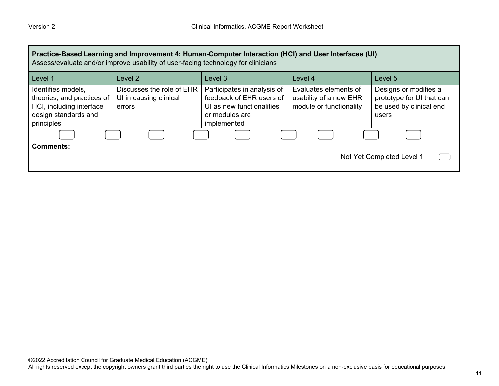| Practice-Based Learning and Improvement 4: Human-Computer Interaction (HCI) and User Interfaces (UI)<br>Assess/evaluate and/or improve usability of user-facing technology for clinicians |                                                               |                                                                                                                       |                                                                            |                                                                                        |
|-------------------------------------------------------------------------------------------------------------------------------------------------------------------------------------------|---------------------------------------------------------------|-----------------------------------------------------------------------------------------------------------------------|----------------------------------------------------------------------------|----------------------------------------------------------------------------------------|
| Level 1                                                                                                                                                                                   | Level 2                                                       | Level 3                                                                                                               | Level 4                                                                    | Level 5                                                                                |
| Identifies models,<br>theories, and practices of<br>HCI, including interface<br>design standards and<br>principles                                                                        | Discusses the role of EHR<br>UI in causing clinical<br>errors | Participates in analysis of<br>feedback of EHR users of<br>UI as new functionalities<br>or modules are<br>implemented | Evaluates elements of<br>usability of a new EHR<br>module or functionality | Designs or modifies a<br>prototype for UI that can<br>be used by clinical end<br>users |
|                                                                                                                                                                                           |                                                               |                                                                                                                       |                                                                            |                                                                                        |
| <b>Comments:</b><br>Not Yet Completed Level 1                                                                                                                                             |                                                               |                                                                                                                       |                                                                            |                                                                                        |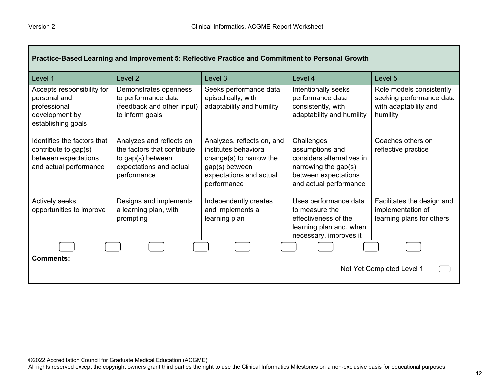| Practice-Based Learning and Improvement 5: Reflective Practice and Commitment to Personal Growth      |                                                                                                                        |                                                                                                                                            |                                                                                                                                      |                                                                                           |  |
|-------------------------------------------------------------------------------------------------------|------------------------------------------------------------------------------------------------------------------------|--------------------------------------------------------------------------------------------------------------------------------------------|--------------------------------------------------------------------------------------------------------------------------------------|-------------------------------------------------------------------------------------------|--|
| Level 1                                                                                               | Level <sub>2</sub>                                                                                                     | Level 3                                                                                                                                    | Level 4                                                                                                                              | Level 5                                                                                   |  |
| Accepts responsibility for<br>personal and<br>professional<br>development by<br>establishing goals    | Demonstrates openness<br>to performance data<br>(feedback and other input)<br>to inform goals                          | Seeks performance data<br>episodically, with<br>adaptability and humility                                                                  | Intentionally seeks<br>performance data<br>consistently, with<br>adaptability and humility                                           | Role models consistently<br>seeking performance data<br>with adaptability and<br>humility |  |
| Identifies the factors that<br>contribute to gap(s)<br>between expectations<br>and actual performance | Analyzes and reflects on<br>the factors that contribute<br>to gap(s) between<br>expectations and actual<br>performance | Analyzes, reflects on, and<br>institutes behavioral<br>change(s) to narrow the<br>gap(s) between<br>expectations and actual<br>performance | Challenges<br>assumptions and<br>considers alternatives in<br>narrowing the gap(s)<br>between expectations<br>and actual performance | Coaches others on<br>reflective practice                                                  |  |
| Actively seeks<br>opportunities to improve                                                            | Designs and implements<br>a learning plan, with<br>prompting                                                           | Independently creates<br>and implements a<br>learning plan                                                                                 | Uses performance data<br>to measure the<br>effectiveness of the<br>learning plan and, when<br>necessary, improves it                 | Facilitates the design and<br>implementation of<br>learning plans for others              |  |
|                                                                                                       |                                                                                                                        |                                                                                                                                            |                                                                                                                                      |                                                                                           |  |
| <b>Comments:</b><br>Not Yet Completed Level 1                                                         |                                                                                                                        |                                                                                                                                            |                                                                                                                                      |                                                                                           |  |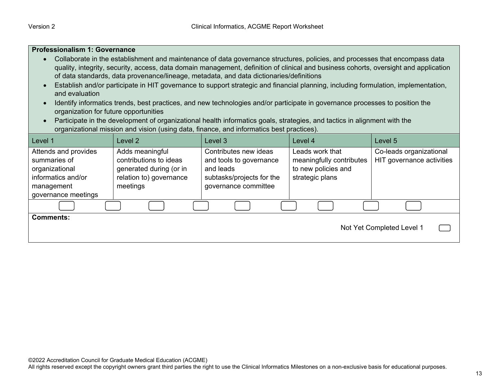| <b>Professionalism 1: Governance</b>                                                                                                                                                                                                                                                                                                                                                                                                                                                                                                                                                                                                                                                                                                                                                                                                                                                                                    |                                                                                                             |                                                                                                                    |                                                                                       |                                                      |  |  |
|-------------------------------------------------------------------------------------------------------------------------------------------------------------------------------------------------------------------------------------------------------------------------------------------------------------------------------------------------------------------------------------------------------------------------------------------------------------------------------------------------------------------------------------------------------------------------------------------------------------------------------------------------------------------------------------------------------------------------------------------------------------------------------------------------------------------------------------------------------------------------------------------------------------------------|-------------------------------------------------------------------------------------------------------------|--------------------------------------------------------------------------------------------------------------------|---------------------------------------------------------------------------------------|------------------------------------------------------|--|--|
| Collaborate in the establishment and maintenance of data governance structures, policies, and processes that encompass data<br>quality, integrity, security, access, data domain management, definition of clinical and business cohorts, oversight and application<br>of data standards, data provenance/lineage, metadata, and data dictionaries/definitions<br>Establish and/or participate in HIT governance to support strategic and financial planning, including formulation, implementation,<br>and evaluation<br>Identify informatics trends, best practices, and new technologies and/or participate in governance processes to position the<br>organization for future opportunities<br>Participate in the development of organizational health informatics goals, strategies, and tactics in alignment with the<br>organizational mission and vision (using data, finance, and informatics best practices). |                                                                                                             |                                                                                                                    |                                                                                       |                                                      |  |  |
| Level 1                                                                                                                                                                                                                                                                                                                                                                                                                                                                                                                                                                                                                                                                                                                                                                                                                                                                                                                 | Level 2                                                                                                     | Level 3                                                                                                            | Level 4                                                                               | Level 5                                              |  |  |
| Attends and provides<br>summaries of<br>organizational<br>informatics and/or<br>management<br>governance meetings                                                                                                                                                                                                                                                                                                                                                                                                                                                                                                                                                                                                                                                                                                                                                                                                       | Adds meaningful<br>contributions to ideas<br>generated during (or in<br>relation to) governance<br>meetings | Contributes new ideas<br>and tools to governance<br>and leads<br>subtasks/projects for the<br>governance committee | Leads work that<br>meaningfully contributes<br>to new policies and<br>strategic plans | Co-leads organizational<br>HIT governance activities |  |  |
|                                                                                                                                                                                                                                                                                                                                                                                                                                                                                                                                                                                                                                                                                                                                                                                                                                                                                                                         |                                                                                                             |                                                                                                                    |                                                                                       |                                                      |  |  |
| <b>Comments:</b><br>Not Yet Completed Level 1                                                                                                                                                                                                                                                                                                                                                                                                                                                                                                                                                                                                                                                                                                                                                                                                                                                                           |                                                                                                             |                                                                                                                    |                                                                                       |                                                      |  |  |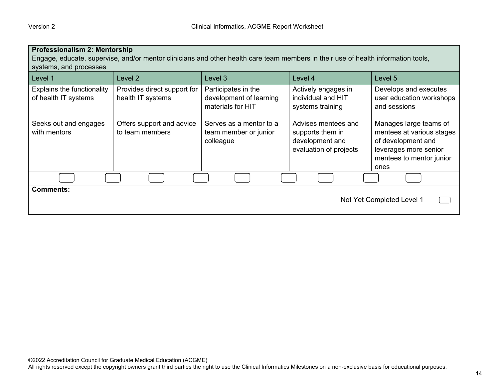| Professionalism 2: Mentorship<br>Engage, educate, supervise, and/or mentor clinicians and other health care team members in their use of health information tools,<br>systems, and processes |                                                  |                                                                     |                                                                                      |                                                                                                                                        |  |  |
|----------------------------------------------------------------------------------------------------------------------------------------------------------------------------------------------|--------------------------------------------------|---------------------------------------------------------------------|--------------------------------------------------------------------------------------|----------------------------------------------------------------------------------------------------------------------------------------|--|--|
| Level 1                                                                                                                                                                                      | Level 2                                          | Level 3                                                             | Level 4                                                                              | Level 5                                                                                                                                |  |  |
| <b>Explains the functionality</b><br>of health IT systems                                                                                                                                    | Provides direct support for<br>health IT systems | Participates in the<br>development of learning<br>materials for HIT | Actively engages in<br>individual and HIT<br>systems training                        | Develops and executes<br>user education workshops<br>and sessions                                                                      |  |  |
| Seeks out and engages<br>with mentors                                                                                                                                                        | Offers support and advice<br>to team members     | Serves as a mentor to a<br>team member or junior<br>colleague       | Advises mentees and<br>supports them in<br>development and<br>evaluation of projects | Manages large teams of<br>mentees at various stages<br>of development and<br>leverages more senior<br>mentees to mentor junior<br>ones |  |  |
|                                                                                                                                                                                              |                                                  |                                                                     |                                                                                      |                                                                                                                                        |  |  |
| <b>Comments:</b><br>Not Yet Completed Level 1                                                                                                                                                |                                                  |                                                                     |                                                                                      |                                                                                                                                        |  |  |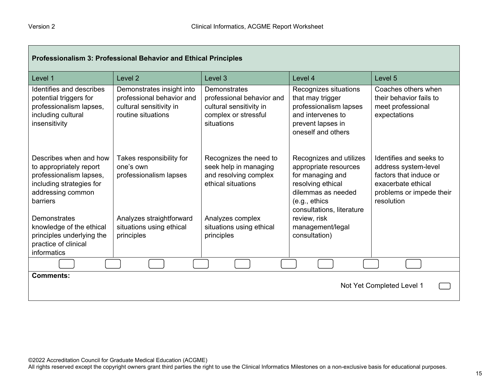г

| Professionalism 3: Professional Behavior and Ethical Principles                                                                           |                                                                                                         |                                                                                                            |                                                                                                                                                               |                                                                                                                                           |  |
|-------------------------------------------------------------------------------------------------------------------------------------------|---------------------------------------------------------------------------------------------------------|------------------------------------------------------------------------------------------------------------|---------------------------------------------------------------------------------------------------------------------------------------------------------------|-------------------------------------------------------------------------------------------------------------------------------------------|--|
| Level 1                                                                                                                                   | Level <sub>2</sub>                                                                                      | Level 3                                                                                                    | Level 4                                                                                                                                                       | Level 5                                                                                                                                   |  |
| Identifies and describes<br>potential triggers for<br>professionalism lapses,<br>including cultural<br>insensitivity                      | Demonstrates insight into<br>professional behavior and<br>cultural sensitivity in<br>routine situations | Demonstrates<br>professional behavior and<br>cultural sensitivity in<br>complex or stressful<br>situations | Recognizes situations<br>that may trigger<br>professionalism lapses<br>and intervenes to<br>prevent lapses in<br>oneself and others                           | Coaches others when<br>their behavior fails to<br>meet professional<br>expectations                                                       |  |
| Describes when and how<br>to appropriately report<br>professionalism lapses,<br>including strategies for<br>addressing common<br>barriers | Takes responsibility for<br>one's own<br>professionalism lapses                                         | Recognizes the need to<br>seek help in managing<br>and resolving complex<br>ethical situations             | Recognizes and utilizes<br>appropriate resources<br>for managing and<br>resolving ethical<br>dilemmas as needed<br>(e.g., ethics<br>consultations, literature | Identifies and seeks to<br>address system-level<br>factors that induce or<br>exacerbate ethical<br>problems or impede their<br>resolution |  |
| Demonstrates<br>knowledge of the ethical<br>principles underlying the<br>practice of clinical<br>informatics                              | Analyzes straightforward<br>situations using ethical<br>principles                                      | Analyzes complex<br>situations using ethical<br>principles                                                 | review, risk<br>management/legal<br>consultation)                                                                                                             |                                                                                                                                           |  |
|                                                                                                                                           |                                                                                                         |                                                                                                            |                                                                                                                                                               |                                                                                                                                           |  |
| <b>Comments:</b><br>Not Yet Completed Level 1                                                                                             |                                                                                                         |                                                                                                            |                                                                                                                                                               |                                                                                                                                           |  |

┑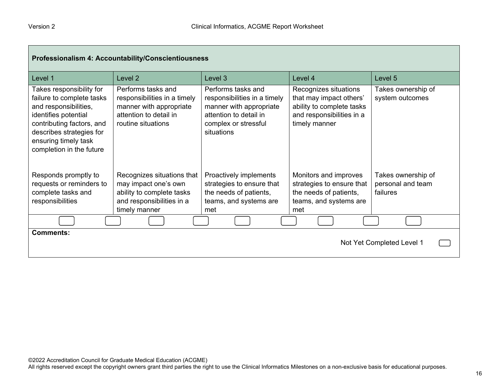г

| Professionalism 4: Accountability/Conscientiousness                                                                                                                                                                 |                                                                                                                               |                                                                                                                                               |                                                                                                                             |                                                     |  |
|---------------------------------------------------------------------------------------------------------------------------------------------------------------------------------------------------------------------|-------------------------------------------------------------------------------------------------------------------------------|-----------------------------------------------------------------------------------------------------------------------------------------------|-----------------------------------------------------------------------------------------------------------------------------|-----------------------------------------------------|--|
| Level 1                                                                                                                                                                                                             | Level <sub>2</sub>                                                                                                            | Level 3                                                                                                                                       | Level 4                                                                                                                     | Level 5                                             |  |
| Takes responsibility for<br>failure to complete tasks<br>and responsibilities,<br>identifies potential<br>contributing factors, and<br>describes strategies for<br>ensuring timely task<br>completion in the future | Performs tasks and<br>responsibilities in a timely<br>manner with appropriate<br>attention to detail in<br>routine situations | Performs tasks and<br>responsibilities in a timely<br>manner with appropriate<br>attention to detail in<br>complex or stressful<br>situations | Recognizes situations<br>that may impact others'<br>ability to complete tasks<br>and responsibilities in a<br>timely manner | Takes ownership of<br>system outcomes               |  |
| Responds promptly to<br>requests or reminders to<br>complete tasks and<br>responsibilities                                                                                                                          | Recognizes situations that<br>may impact one's own<br>ability to complete tasks<br>and responsibilities in a<br>timely manner | Proactively implements<br>strategies to ensure that<br>the needs of patients,<br>teams, and systems are<br>met                                | Monitors and improves<br>strategies to ensure that<br>the needs of patients,<br>teams, and systems are<br>met               | Takes ownership of<br>personal and team<br>failures |  |
|                                                                                                                                                                                                                     |                                                                                                                               |                                                                                                                                               |                                                                                                                             |                                                     |  |
| <b>Comments:</b>                                                                                                                                                                                                    |                                                                                                                               |                                                                                                                                               |                                                                                                                             | Not Yet Completed Level 1                           |  |

┓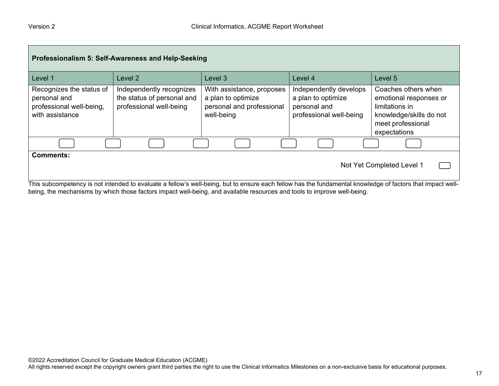| Professionalism 5: Self-Awareness and Help-Seeking                                                                                                                                                          |                                                                                   |                                                                                            |                                                                                         |                                                                                                                                 |  |  |
|-------------------------------------------------------------------------------------------------------------------------------------------------------------------------------------------------------------|-----------------------------------------------------------------------------------|--------------------------------------------------------------------------------------------|-----------------------------------------------------------------------------------------|---------------------------------------------------------------------------------------------------------------------------------|--|--|
| Level 1                                                                                                                                                                                                     | Level 2                                                                           | Level 3                                                                                    | Level 4                                                                                 | Level 5                                                                                                                         |  |  |
| Recognizes the status of<br>personal and<br>professional well-being,<br>with assistance                                                                                                                     | Independently recognizes<br>the status of personal and<br>professional well-being | With assistance, proposes<br>a plan to optimize<br>personal and professional<br>well-being | Independently develops<br>a plan to optimize<br>personal and<br>professional well-being | Coaches others when<br>emotional responses or<br>limitations in<br>knowledge/skills do not<br>meet professional<br>expectations |  |  |
|                                                                                                                                                                                                             |                                                                                   |                                                                                            |                                                                                         |                                                                                                                                 |  |  |
| <b>Comments:</b><br>Not Yet Completed Level 1<br>This subcompetency is not intended to evaluate a fellow's well-being, but to ensure each fellow has the fundamental knowledge of factors that impact well- |                                                                                   |                                                                                            |                                                                                         |                                                                                                                                 |  |  |

being, the mechanisms by which those factors impact well-being, and available resources and tools to improve well-being.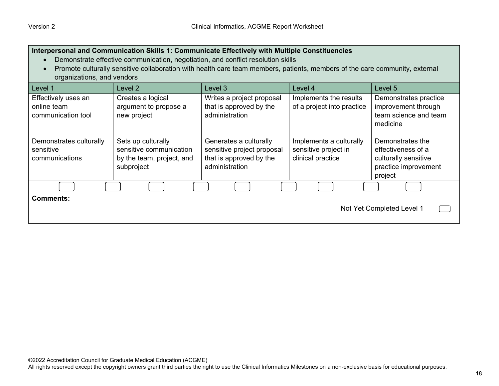| Interpersonal and Communication Skills 1: Communicate Effectively with Multiple Constituencies<br>Demonstrate effective communication, negotiation, and conflict resolution skills<br>Promote culturally sensitive collaboration with health care team members, patients, members of the care community, external<br>organizations, and vendors |                                                                                          |                                                                                                   |                                                                      |                                                                                                   |  |  |
|-------------------------------------------------------------------------------------------------------------------------------------------------------------------------------------------------------------------------------------------------------------------------------------------------------------------------------------------------|------------------------------------------------------------------------------------------|---------------------------------------------------------------------------------------------------|----------------------------------------------------------------------|---------------------------------------------------------------------------------------------------|--|--|
| Level 1                                                                                                                                                                                                                                                                                                                                         | Level <sub>2</sub>                                                                       | Level 3                                                                                           | Level 4                                                              | Level 5                                                                                           |  |  |
| Effectively uses an<br>online team<br>communication tool                                                                                                                                                                                                                                                                                        | Creates a logical<br>argument to propose a<br>new project                                | Writes a project proposal<br>that is approved by the<br>administration                            | Implements the results<br>of a project into practice                 | Demonstrates practice<br>improvement through<br>team science and team<br>medicine                 |  |  |
| Demonstrates culturally<br>sensitive<br>communications                                                                                                                                                                                                                                                                                          | Sets up culturally<br>sensitive communication<br>by the team, project, and<br>subproject | Generates a culturally<br>sensitive project proposal<br>that is approved by the<br>administration | Implements a culturally<br>sensitive project in<br>clinical practice | Demonstrates the<br>effectiveness of a<br>culturally sensitive<br>practice improvement<br>project |  |  |
|                                                                                                                                                                                                                                                                                                                                                 |                                                                                          |                                                                                                   |                                                                      |                                                                                                   |  |  |
| <b>Comments:</b><br>Not Yet Completed Level 1                                                                                                                                                                                                                                                                                                   |                                                                                          |                                                                                                   |                                                                      |                                                                                                   |  |  |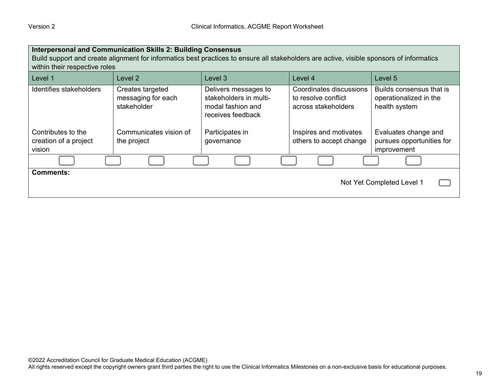| <b>Interpersonal and Communication Skills 2: Building Consensus</b><br>Build support and create alignment for informatics best practices to ensure all stakeholders are active, visible sponsors of informatics<br>within their respective roles |                                                       |                                                                                          |                                                                       |                                                                     |  |  |
|--------------------------------------------------------------------------------------------------------------------------------------------------------------------------------------------------------------------------------------------------|-------------------------------------------------------|------------------------------------------------------------------------------------------|-----------------------------------------------------------------------|---------------------------------------------------------------------|--|--|
| Level 1                                                                                                                                                                                                                                          | Level 2                                               | Level 3                                                                                  | Level 4                                                               | Level 5                                                             |  |  |
| Identifies stakeholders                                                                                                                                                                                                                          | Creates targeted<br>messaging for each<br>stakeholder | Delivers messages to<br>stakeholders in multi-<br>modal fashion and<br>receives feedback | Coordinates discussions<br>to resolve conflict<br>across stakeholders | Builds consensus that is<br>operationalized in the<br>health system |  |  |
| Contributes to the                                                                                                                                                                                                                               | Communicates vision of                                | Participates in                                                                          | Inspires and motivates                                                | Evaluates change and                                                |  |  |
| creation of a project<br>vision                                                                                                                                                                                                                  | the project                                           | governance                                                                               | others to accept change                                               | pursues opportunities for<br>improvement                            |  |  |
|                                                                                                                                                                                                                                                  |                                                       |                                                                                          |                                                                       |                                                                     |  |  |
| <b>Comments:</b><br>Not Yet Completed Level 1                                                                                                                                                                                                    |                                                       |                                                                                          |                                                                       |                                                                     |  |  |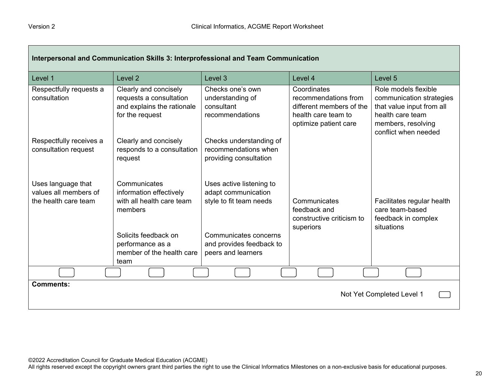Г

| Interpersonal and Communication Skills 3: Interprofessional and Team Communication |                                                                                                   |                                                                            |                                                                                                                 |                                                                                                                                                 |  |
|------------------------------------------------------------------------------------|---------------------------------------------------------------------------------------------------|----------------------------------------------------------------------------|-----------------------------------------------------------------------------------------------------------------|-------------------------------------------------------------------------------------------------------------------------------------------------|--|
| Level 1                                                                            | Level <sub>2</sub>                                                                                | Level 3                                                                    | Level 4                                                                                                         | Level 5                                                                                                                                         |  |
| Respectfully requests a<br>consultation                                            | Clearly and concisely<br>requests a consultation<br>and explains the rationale<br>for the request | Checks one's own<br>understanding of<br>consultant<br>recommendations      | Coordinates<br>recommendations from<br>different members of the<br>health care team to<br>optimize patient care | Role models flexible<br>communication strategies<br>that value input from all<br>health care team<br>members, resolving<br>conflict when needed |  |
| Respectfully receives a<br>consultation request                                    | Clearly and concisely<br>responds to a consultation<br>request                                    | Checks understanding of<br>recommendations when<br>providing consultation  |                                                                                                                 |                                                                                                                                                 |  |
| Uses language that<br>values all members of<br>the health care team                | Communicates<br>information effectively<br>with all health care team<br>members                   | Uses active listening to<br>adapt communication<br>style to fit team needs | Communicates<br>feedback and<br>constructive criticism to<br>superiors                                          | Facilitates regular health<br>care team-based<br>feedback in complex<br>situations                                                              |  |
|                                                                                    | Solicits feedback on<br>performance as a<br>member of the health care<br>team                     | Communicates concerns<br>and provides feedback to<br>peers and learners    |                                                                                                                 |                                                                                                                                                 |  |
|                                                                                    |                                                                                                   |                                                                            |                                                                                                                 |                                                                                                                                                 |  |
| <b>Comments:</b><br>Not Yet Completed Level 1                                      |                                                                                                   |                                                                            |                                                                                                                 |                                                                                                                                                 |  |

 $\overline{\phantom{0}}$